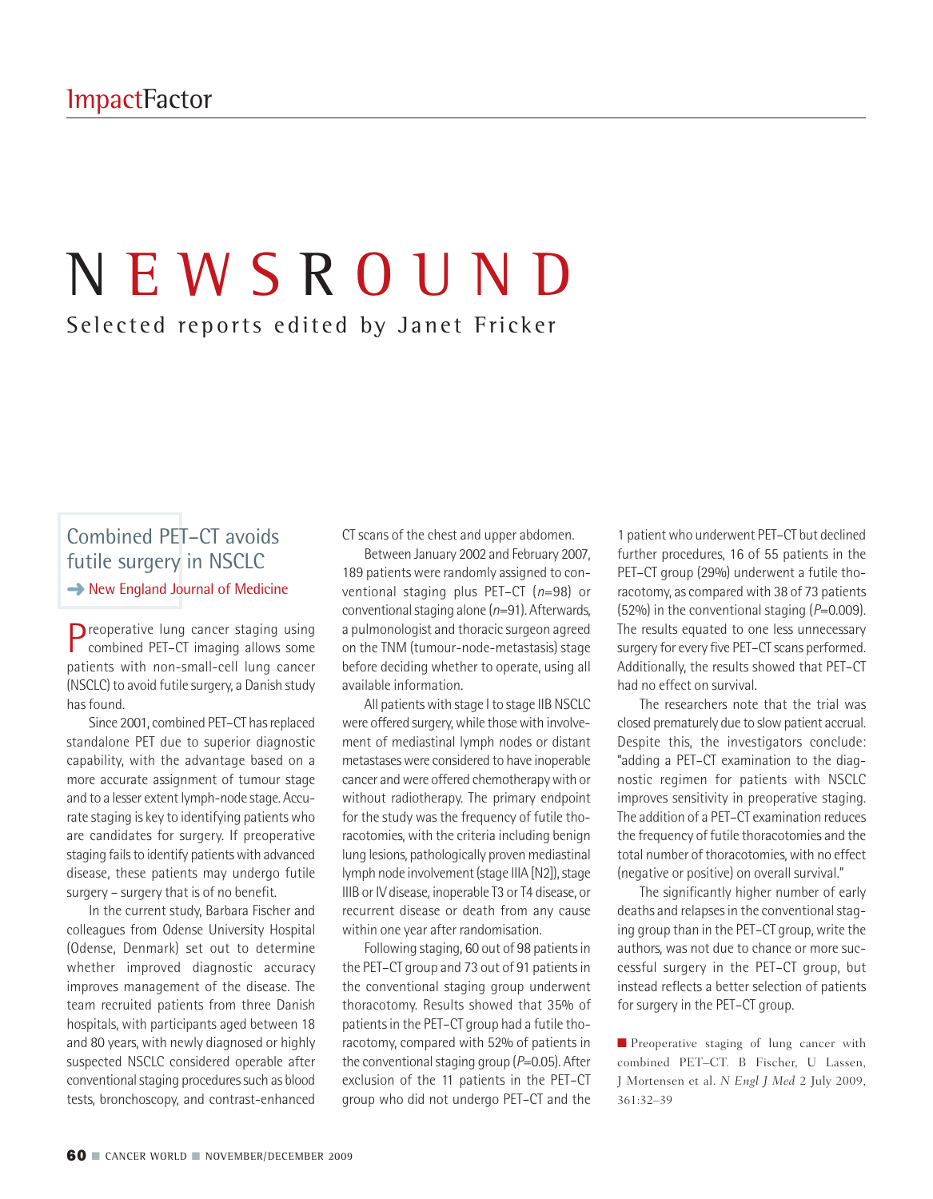# N E W S R O U N D Selected reports edited by Janet Fricker

## Combined PET–CT avoids futile surgery in NSCLC **→** New England Journal of Medicine

Preoperative lung cancer staging using combined PET–CT imaging allows some patients with non-small-cell lung cancer (NSCLC) to avoid futile surgery, a Danish study has found.

Since 2001, combined PET-CT has replaced standalone PET due to superior diagnostic capability, with the advantage based on a more accurate assignment of tumour stage and to a lesser extent lymph-node stage. Accurate staging is key to identifying patients who are candidates for surgery. If preoperative staging fails to identify patients with advanced disease, these patients may undergo futile surgery – surgery that is of no benefit.

In the current study, Barbara Fischer and colleagues from Odense University Hospital (Odense, Denmark) set out to determine whether improved diagnostic accuracy improves management of the disease. The team recruited patients from three Danish hospitals, with participants aged between 18 and 80 years, with newly diagnosed or highly suspected NSCLC considered operable after conventional staging procedures such as blood tests, bronchoscopy, and contrast-enhanced

CT scans of the chest and upper abdomen.

Between January 2002 and February 2007, 189 patients were randomly assigned to conventional staging plus PET–CT (*n*=98) or conventional staging alone (*n*=91). Afterwards, a pulmonologist and thoracic surgeon agreed on the TNM (tumour-node-metastasis) stage before deciding whether to operate, using all available information.

All patients with stage I to stage IIB NSCLC were offered surgery, while those with involvement of mediastinal lymph nodes or distant metastases were considered to have inoperable cancer and were offered chemotherapy with or without radiotherapy. The primary endpoint for the study was the frequency of futile thoracotomies, with the criteria including benign lung lesions, pathologically proven mediastinal lymph node involvement (stage IIIA [N2]), stage IIIB or IV disease, inoperable T3 or T4 disease, or recurrent disease or death from any cause within one year after randomisation.

Following staging, 60 out of 98 patients in the PET-CT group and 73 out of 91 patients in the conventional staging group underwent thoracotomy. Results showed that 35% of patients in the PET-CT group had a futile thoracotomy, compared with 52% of patients in the conventional staging group ( $P=0.05$ ). After exclusion of the 11 patients in the PET–CT group who did not undergo PET–CT and the

1 patient who underwent PET-CT but declined further procedures, 16 of 55 patients in the PET–CT group (29%) underwent a futile thoracotomy, as compared with 38 of 73 patients (52%) in the conventional staging (*P*=0.009). The results equated to one less unnecessary surgery for every five PET-CT scans performed. Additionally, the results showed that PET–CT had no effect on survival.

The researchers note that the trial was closed prematurely due to slowpatient accrual. Despite this, the investigators conclude: "adding a PET–CT examination to the diagnostic regimen for patients with NSCLC improves sensitivity in preoperative staging. The addition of a PET–CT examination reduces the frequency of futile thoracotomies and the total number of thoracotomies, with no effect (negative or positive) on overall survival."

The significantly higher number of early deaths and relapses in the conventional staging group than in the PET–CT group, write the authors, was not due to chance or more successful surgery in the PET–CT group, but instead reflects a better selection of patients for surgery in the PET–CT group.

■ Preoperative staging of lung cancer with combined PET–CT. B Fischer, U Lassen, J Mortensen et al. *N Engl J Med* 2 July 2009, 361:32–39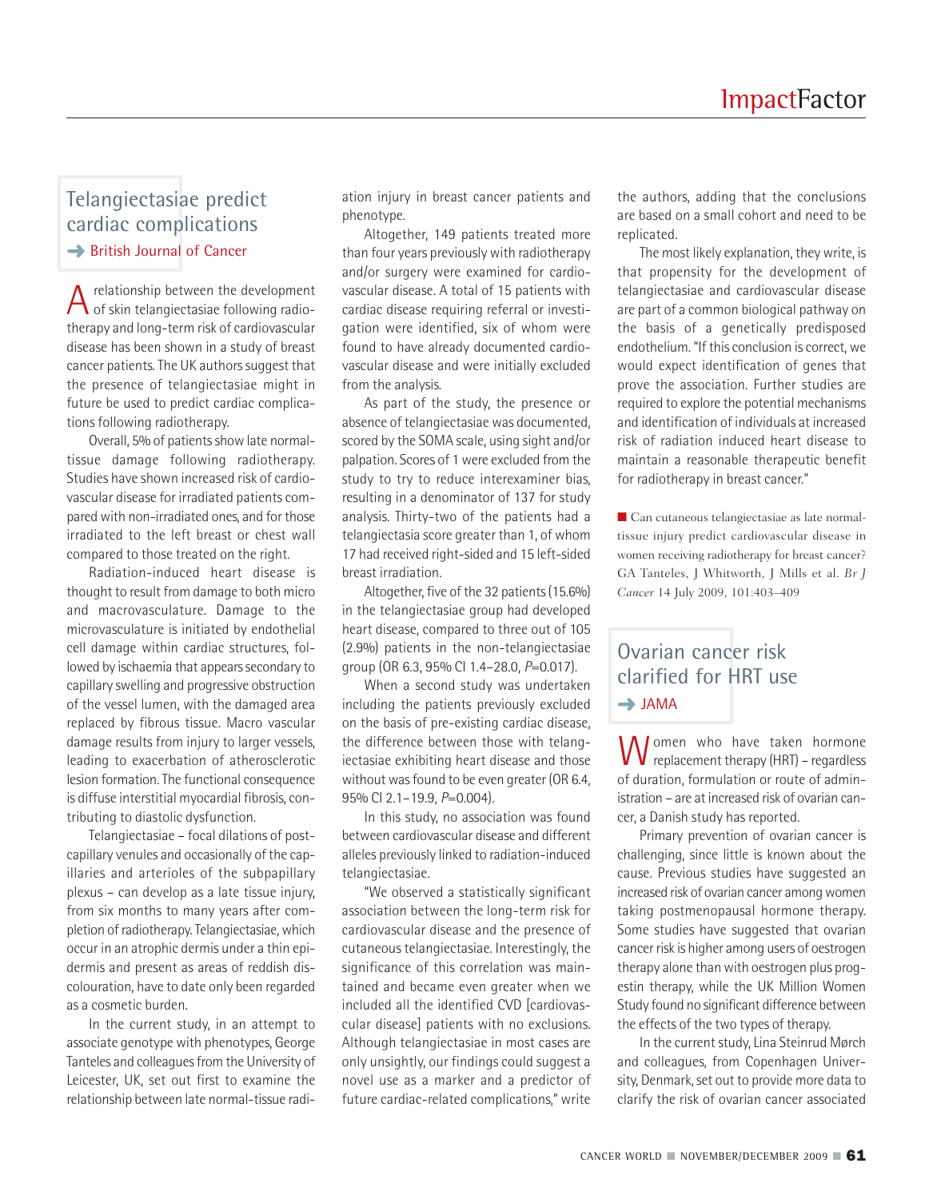#### Telangiectasiae predict cardiac complications **→ British Journal of Cancer**

 $A$  relationship between the development<br>of skin telangiectasiae following radiotherapy and long-term risk of cardiovascular disease has been shown in a study of breast cancer patients.The UK authors suggest that the presence of telangiectasiae might in future be used to predict cardiac complications following radiotherapy.

Overall, 5% of patients show late normaltissue damage following radiotherapy. Studies have shown increased risk of cardiovascular disease for irradiated patients compared with non-irradiated ones, and for those irradiated to the left breast or chest wall compared to those treated on the right.

Radiation-induced heart disease is thought to result from damage to both micro and macrovasculature. Damage to the microvasculature is initiated by endothelial cell damage within cardiac structures, followed by ischaemia that appears secondary to capillary swelling and progressive obstruction of the vessel lumen, with the damaged area replaced by fibrous tissue. Macro vascular damage results from injury to larger vessels, leading to exacerbation of atherosclerotic lesion formation.The functional consequence is diffuse interstitial myocardial fibrosis, contributing to diastolic dysfunction.

Telangiectasiae – focal dilations of postcapillary venules and occasionally of the capillaries and arterioles of the subpapillary plexus – can develop as a late tissue injury, from six months to many years after completion of radiotherapy. Telangiectasiae, which occur in an atrophic dermis under a thin epidermis and present as areas of reddish discolouration, have to date only been regarded as a cosmetic burden.

In the current study, in an attempt to associate genotype with phenotypes, George Tanteles and colleagues from the University of Leicester, UK, set out first to examine the relationship between late normal-tissue radiation injury in breast cancer patients and phenotype.

Altogether, 149 patients treated more than four years previously with radiotherapy and/or surgery were examined for cardiovascular disease. A total of 15 patients with cardiac disease requiring referral or investigation were identified, six of whom were found to have already documented cardiovascular disease and were initially excluded from the analysis.

As part of the study, the presence or absence of telangiectasiae was documented, scored by the SOMA scale, using sight and/or palpation. Scores of 1were excluded from the study to try to reduce interexaminer bias, resulting in a denominator of 137 for study analysis. Thirty-two of the patients had a telangiectasia score greater than 1, of whom 17 had received right-sided and 15 left-sided breast irradiation.

Altogether, five of the 32 patients(15.6%) in the telangiectasiae group had developed heart disease, compared to three out of 105 (2.9%) patients in the non-telangiectasiae group (OR 6.3, 95% CI 1.4–28.0, *P*=0.017).

When a second study was undertaken including the patients previously excluded on the basis of pre-existing cardiac disease, the difference between those with telangiectasiae exhibiting heart disease and those without was found to be even greater (OR 6.4, 95% CI 2.1–19.9, *P*=0.004).

In this study, no association was found between cardiovascular disease and different alleles previously linked to radiation-induced telangiectasiae.

"We observed a statistically significant association between the long-term risk for cardiovascular disease and the presence of cutaneous telangiectasiae. Interestingly, the significance of this correlation was maintained and became even greater when we included all the identified CVD [cardiovascular disease] patients with no exclusions. Although telangiectasiae in most cases are only unsightly, our findings could suggest a novel use as a marker and a predictor of future cardiac-related complications," write

the authors, adding that the conclusions are based on a small cohort and need to be replicated.

The most likely explanation, they write, is that propensity for the development of telangiectasiae and cardiovascular disease are part of a common biological pathway on the basis of a genetically predisposed endothelium. "If this conclusion is correct, we would expect identification of genes that prove the association. Further studies are required to explore the potential mechanisms and identification of individuals at increased risk of radiation induced heart disease to maintain a reasonable therapeutic benefit for radiotherapy in breast cancer."

■ Can cutaneous telangiectasiae as late normaltissue injury predict cardiovascular disease in women receiving radiotherapy for breast cancer? GA Tanteles, J Whitworth, J Mills et al. *Br J Cancer* 14 July 2009, 101:403–409

### Ovarian cancer risk clarified for HRT use **➜** JAMA

Women who have taken hormone of duration, formulation or route of administration – are at increased risk of ovarian cancer, a Danish study has reported.

Primary prevention of ovarian cancer is challenging, since little is known about the cause. Previous studies have suggested an increased risk of ovarian cancer among women taking postmenopausal hormone therapy. Some studies have suggested that ovarian cancer risk is higher among users of oestrogen therapy alone than with oestrogen plus progestin therapy, while the UK Million Women Study found no significant difference between the effects of the two types of therapy.

In the current study, Lina Steinrud Mørch and colleagues, from Copenhagen University, Denmark, set out to provide more data to clarify the risk of ovarian cancer associated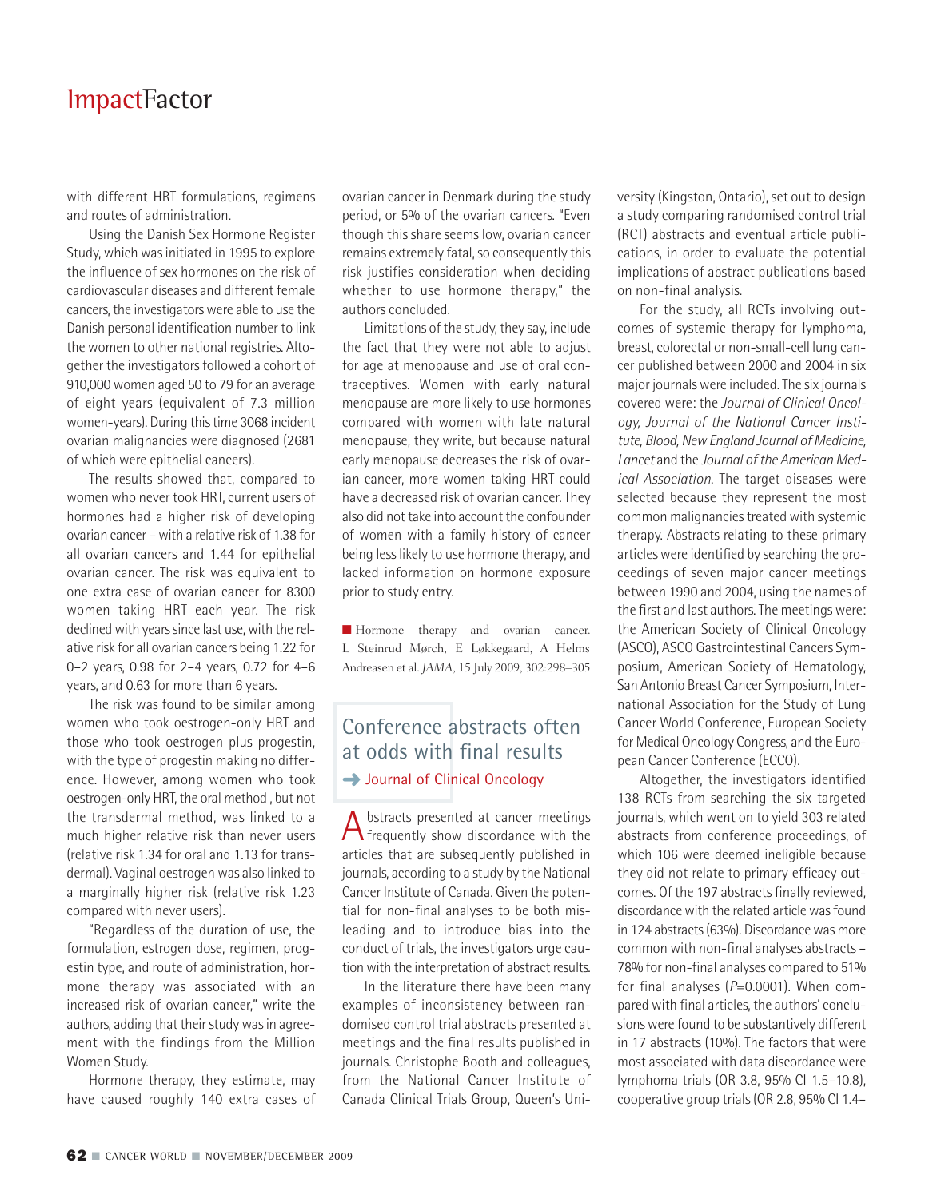with different HRT formulations, regimens and routes of administration.

Using the Danish Sex Hormone Register Study, which wasinitiated in 1995 to explore the influence of sex hormones on the risk of cardiovascular diseases and different female cancers, the investigators were able to use the Danish personal identification number to link the women to other national registries. Altogether the investigators followed a cohort of 910,000 women aged 50 to 79 for an average of eight years (equivalent of 7.3 million women-years). During thistime 3068 incident ovarian malignancies were diagnosed (2681 of which were epithelial cancers).

The results showed that, compared to women who never took HRT, current users of hormones had a higher risk of developing ovarian cancer – with a relative risk of 1.38 for all ovarian cancers and 1.44 for epithelial ovarian cancer. The risk was equivalent to one extra case of ovarian cancer for 8300 women taking HRT each year. The risk declined with years since last use, with the relative risk for all ovarian cancers being 1.22 for 0–2 years, 0.98 for 2–4 years, 0.72 for 4–6 years, and 0.63 for more than 6 years.

The risk was found to be similar among women who took oestrogen-only HRT and those who took oestrogen plus progestin, with the type of progestin making no difference. However, among women who took oestrogen-only HRT, the oral method , but not the transdermal method, was linked to a much higher relative risk than never users (relative risk 1.34 for oral and 1.13 for transdermal). Vaginal oestrogen was also linked to a marginally higher risk (relative risk 1.23 compared with never users).

"Regardless of the duration of use, the formulation, estrogen dose, regimen, progestin type, and route of administration, hormone therapy was associated with an increased risk of ovarian cancer," write the authors, adding that their study was in agreement with the findings from the Million Women Study.

Hormone therapy, they estimate, may have caused roughly 140 extra cases of

ovarian cancer in Denmark during the study period, or 5% of the ovarian cancers. "Even though this share seems low, ovarian cancer remains extremely fatal, so consequently this risk justifies consideration when deciding whether to use hormone therapy," the authors concluded.

Limitations of the study, they say, include the fact that they were not able to adjust for age at menopause and use of oral contraceptives. Women with early natural menopause are more likely to use hormones compared with women with late natural menopause, they write, but because natural early menopause decreases the risk of ovarian cancer, more women taking HRT could have a decreased risk of ovarian cancer.They also did not take into account the confounder of women with a family history of cancer being less likely to use hormone therapy, and lacked information on hormone exposure prior to study entry.

**■** Hormone therapy and ovarian cancer. L Steinrud Mørch, E Løkkegaard, A Helms Andreasen et al. *JAMA*, 15 July 2009, 302:298–305

## Conference abstracts often at odds with final results **→ Journal of Clinical Oncology**

A bstracts presented at cancer meetings<br>frequently show discordance with the articles that are subsequently published in journals, according to a study by the National Cancer Institute of Canada. Given the potential for non-final analyses to be both misleading and to introduce bias into the conduct of trials, the investigators urge caution with the interpretation of abstract results.

In the literature there have been many examples of inconsistency between randomised control trial abstracts presented at meetings and the final results published in journals. Christophe Booth and colleagues, from the National Cancer Institute of Canada Clinical Trials Group, Queen's University (Kingston, Ontario), set out to design a study comparing randomised control trial (RCT) abstracts and eventual article publications, in order to evaluate the potential implications of abstract publications based on non-final analysis.

For the study, all RCTs involving outcomes of systemic therapy for lymphoma, breast, colorectal or non-small-cell lung cancer published between 2000 and 2004 in six major journals were included.The six journals covered were: the *Journal of Clinical Oncology, Journal of the National Cancer Institute, Blood, NewEngland Journal of Medicine, Lancet* and the *Journal of the American Medical Association*. The target diseases were selected because they represent the most common malignancies treated with systemic therapy. Abstracts relating to these primary articles were identified by searching the proceedings of seven major cancer meetings between 1990 and 2004, using the names of the first and last authors.The meetings were: the American Society of Clinical Oncology (ASCO), ASCO Gastrointestinal Cancers Symposium, American Society of Hematology, San Antonio Breast Cancer Symposium, International Association for the Study of Lung Cancer World Conference, European Society for Medical Oncology Congress, and the European Cancer Conference (ECCO).

Altogether, the investigators identified 138 RCTs from searching the six targeted journals, which went on to yield 303 related abstracts from conference proceedings, of which 106 were deemed ineligible because they did not relate to primary efficacy outcomes. Of the 197 abstracts finally reviewed, discordance with the related article was found in 124 abstracts (63%). Discordance was more common with non-final analyses abstracts – 78% for non-final analyses compared to 51% for final analyses (*P*=0.0001). When compared with final articles, the authors' conclusions were found to be substantively different in 17 abstracts (10%). The factors that were most associated with data discordance were lymphoma trials (OR 3.8, 95% CI 1.5–10.8), cooperative group trials (OR 2.8, 95% CI 1.4–